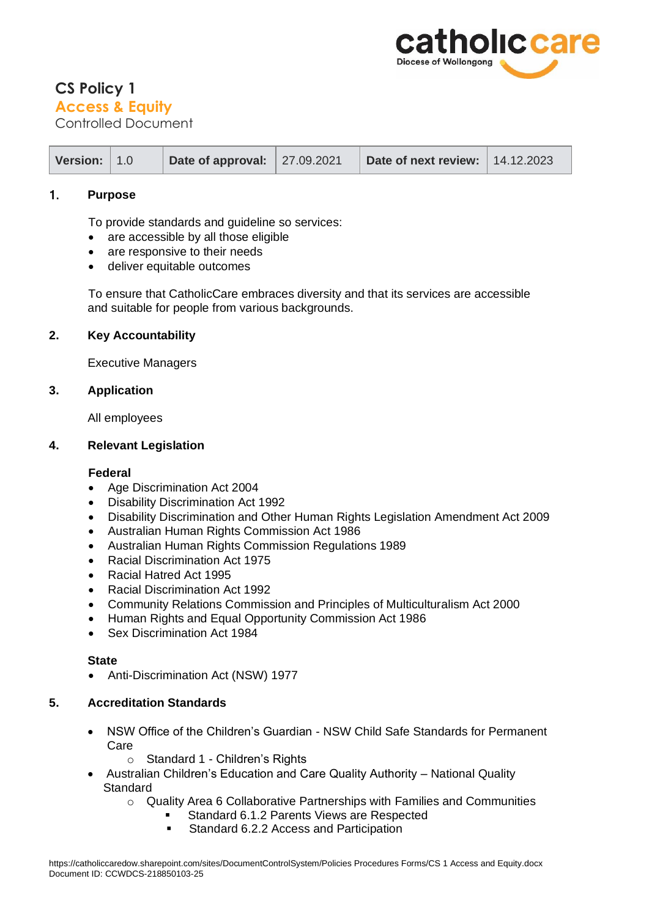

# **CS Policy 1 Access & Equity**

Controlled Document

| Version: $ 1.0 $<br>Date of approval: $\vert$ 27.09.2021 |  | Date of next review:   14.12.2023 |  |
|----------------------------------------------------------|--|-----------------------------------|--|
|----------------------------------------------------------|--|-----------------------------------|--|

## 1. **Purpose**

To provide standards and guideline so services:

- are accessible by all those eligible
- are responsive to their needs
- deliver equitable outcomes

To ensure that CatholicCare embraces diversity and that its services are accessible and suitable for people from various backgrounds.

## **2. Key Accountability**

Executive Managers

#### **3. Application**

All employees

## **4. Relevant Legislation**

## **Federal**

- [Age Discrimination Act 2004](http://www.comlaw.gov.au/ComLaw/Legislation/ActCompilation1.nsf/all/search/FDD75E13233F0BF2CA25713F00803AFE)
- Disability Discrimination Act 1992
- Disability Discrimination and Other Human Rights Legislation Amendment Act 2009
- Australian Human Rights Commission Act 1986
- Australian Human Rights Commission Regulations 1989
- [Racial Discrimination Act 1975](http://www.comlaw.gov.au/comlaw/Legislation/ActCompilation1.nsf/0/A413ADB46D5CC9B2CA257607000EBE58?OpenDocument)
- [Racial Hatred Act 1995](http://www.comlaw.gov.au/ComLaw/Legislation/Act1.nsf/0/3124CD5C4C96ED2ACA256F7200186896?OpenDocument)
- Racial Discrimination Act 1992
- [Community Relations Commission and Principles of Multiculturalism Act 2000](http://www.austlii.edu.au/au/legis/nsw/consol_act/crcapoma2000722/)
- Human Rights and Equal Opportunity Commission Act 1986
- [Sex Discrimination Act 1984](http://www.comlaw.gov.au/ComLaw/Legislation/ActCompilation1.nsf/0/99327A010C648560CA257607002370CF?OpenDocument)

#### **State**

• [Anti-Discrimination Act \(NSW\) 1](http://www.lawlink.nsw.gov.au/lawlink/adb/ll_adb.nsf/pages/adb_adlaw)977

#### **5. Accreditation Standards**

- NSW Office of the Children's Guardian NSW Child Safe Standards for Permanent Care
	- o Standard 1 Children's Rights
- Australian Children's Education and Care Quality Authority National Quality **Standard** 
	- $\circ$  Quality Area 6 Collaborative Partnerships with Families and Communities
		- Standard 6.1.2 Parents Views are Respected
			- Standard 6.2.2 Access and Participation